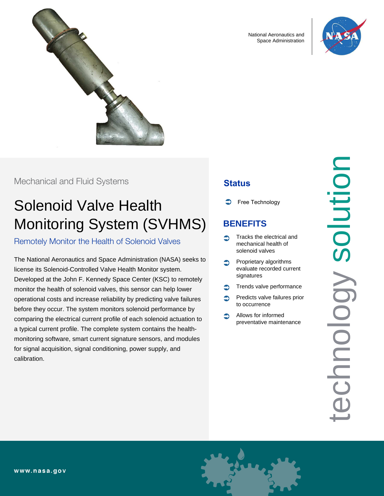

National Aeronautics and Space Administration



## Mechanical and Fluid Systems

# Solenoid Valve Health Monitoring System (SVHMS)

Remotely Monitor the Health of Solenoid Valves

The National Aeronautics and Space Administration (NASA) seeks to license its Solenoid-Controlled Valve Health Monitor system. Developed at the John F. Kennedy Space Center (KSC) to remotely monitor the health of solenoid valves, this sensor can help lower operational costs and increase reliability by predicting valve failures before they occur. The system monitors solenoid performance by comparing the electrical current profile of each solenoid actuation to a typical current profile. The complete system contains the healthmonitoring software, smart current signature sensors, and modules for signal acquisition, signal conditioning, power supply, and calibration.

# **Status**

Free Technology

# **BENEFITS**

- Tracks the electrical and mechanical health of solenoid valves
- Proprietary algorithms evaluate recorded current signatures
- Trends valve performance
- Predicts valve failures prior to occurrence
- Allows for informed preventative maintenance

technology solution Solution Chnology